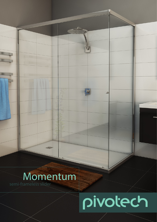# Momentum

Web Ash

# pivotech

 $\Box$